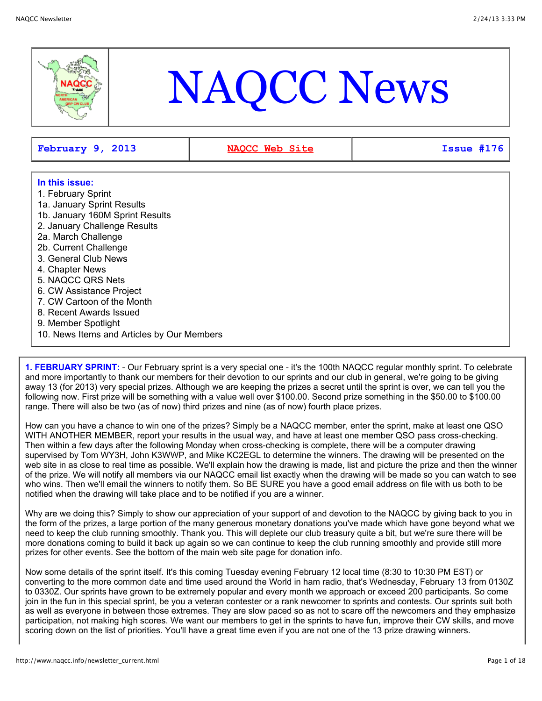

# NAQCC News

**February 9, 2013 [NAQCC Web Site](http://naqcc.info/) Issue #176**

# **In this issue:**

- 1. February Sprint
- 1a. January Sprint Results
- 1b. January 160M Sprint Results
- 2. January Challenge Results
- 2a. March Challenge
- 2b. Current Challenge
- 3. General Club News
- 4. Chapter News
- 5. NAQCC QRS Nets
- 6. CW Assistance Project
- 7. CW Cartoon of the Month
- 8. Recent Awards Issued
- 9. Member Spotlight
- 10. News Items and Articles by Our Members

**1. FEBRUARY SPRINT:** - Our February sprint is a very special one - it's the 100th NAQCC regular monthly sprint. To celebrate and more importantly to thank our members for their devotion to our sprints and our club in general, we're going to be giving away 13 (for 2013) very special prizes. Although we are keeping the prizes a secret until the sprint is over, we can tell you the following now. First prize will be something with a value well over \$100.00. Second prize something in the \$50.00 to \$100.00 range. There will also be two (as of now) third prizes and nine (as of now) fourth place prizes.

How can you have a chance to win one of the prizes? Simply be a NAQCC member, enter the sprint, make at least one QSO WITH ANOTHER MEMBER, report your results in the usual way, and have at least one member QSO pass cross-checking. Then within a few days after the following Monday when cross-checking is complete, there will be a computer drawing supervised by Tom WY3H, John K3WWP, and Mike KC2EGL to determine the winners. The drawing will be presented on the web site in as close to real time as possible. We'll explain how the drawing is made, list and picture the prize and then the winner of the prize. We will notify all members via our NAQCC email list exactly when the drawing will be made so you can watch to see who wins. Then we'll email the winners to notify them. So BE SURE you have a good email address on file with us both to be notified when the drawing will take place and to be notified if you are a winner.

Why are we doing this? Simply to show our appreciation of your support of and devotion to the NAQCC by giving back to you in the form of the prizes, a large portion of the many generous monetary donations you've made which have gone beyond what we need to keep the club running smoothly. Thank you. This will deplete our club treasury quite a bit, but we're sure there will be more donations coming to build it back up again so we can continue to keep the club running smoothly and provide still more prizes for other events. See the bottom of the main web site page for donation info.

Now some details of the sprint itself. It's this coming Tuesday evening February 12 local time (8:30 to 10:30 PM EST) or converting to the more common date and time used around the World in ham radio, that's Wednesday, February 13 from 0130Z to 0330Z. Our sprints have grown to be extremely popular and every month we approach or exceed 200 participants. So come join in the fun in this special sprint, be you a veteran contester or a rank newcomer to sprints and contests. Our sprints suit both as well as everyone in between those extremes. They are slow paced so as not to scare off the newcomers and they emphasize participation, not making high scores. We want our members to get in the sprints to have fun, improve their CW skills, and move scoring down on the list of priorities. You'll have a great time even if you are not one of the 13 prize drawing winners.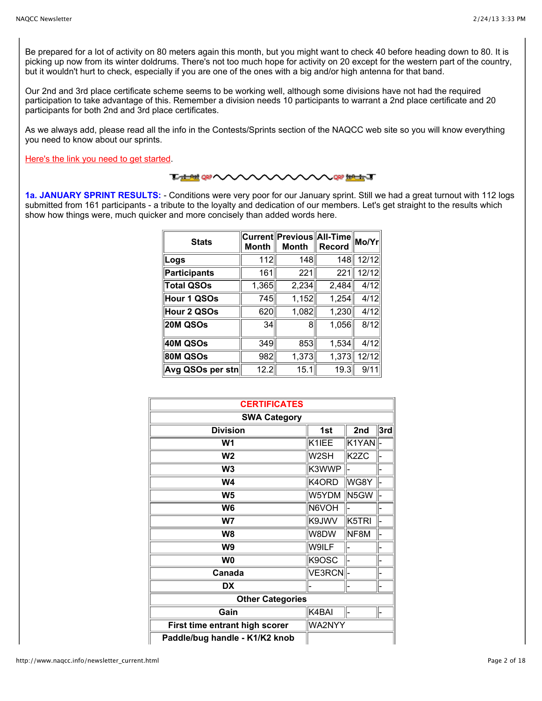Be prepared for a lot of activity on 80 meters again this month, but you might want to check 40 before heading down to 80. It is picking up now from its winter doldrums. There's not too much hope for activity on 20 except for the western part of the country, but it wouldn't hurt to check, especially if you are one of the ones with a big and/or high antenna for that band.

Our 2nd and 3rd place certificate scheme seems to be working well, although some divisions have not had the required participation to take advantage of this. Remember a division needs 10 participants to warrant a 2nd place certificate and 20 participants for both 2nd and 3rd place certificates.

As we always add, please read all the info in the Contests/Sprints section of the NAQCC web site so you will know everything you need to know about our sprints.

[Here's the link you need to get started.](http://www.naqcc.info/contests.html)

#### **TAN OF WARRANT**

**1a. JANUARY SPRINT RESULTS:** - Conditions were very poor for our January sprint. Still we had a great turnout with 112 logs submitted from 161 participants - a tribute to the loyalty and dedication of our members. Let's get straight to the results which show how things were, much quicker and more concisely than added words here.

| <b>Stats</b>      | <b>Month</b> | ∣Current∥Previous∥All-Time<br><b>Month</b> | <b>Record</b> | Mo/Yr |
|-------------------|--------------|--------------------------------------------|---------------|-------|
| Logs              | 112          | 148                                        | 148           | 12/12 |
| Participants      | 161          | 221                                        | 221           | 12/12 |
| <b>Total QSOs</b> | 1,365        | 2,234                                      | 2,484         | 4/12  |
| Hour 1 QSOs       | 745          | 1,152                                      | 1,254         | 4/12  |
| Hour 2 QSOs       | 620          | 1,082                                      | 1,230         | 4/12  |
| 20M QSOs          | 34           | 8                                          | 1,056         | 8/12  |
| 40M QSOs          | 349          | 853                                        | 1,534         | 4/12  |
| <b>80M QSOs</b>   | 982          | 1,373                                      | 1,373         | 12/12 |
| Avg QSOs per stn  | 12.2         | 15.1                                       | 19.3          | 9/11  |

| <b>CERTIFICATES</b>            |        |                   |                  |  |  |
|--------------------------------|--------|-------------------|------------------|--|--|
| <b>SWA Category</b>            |        |                   |                  |  |  |
| <b>Division</b>                | 1st    | 2nd               | $ \mathsf{3rd} $ |  |  |
| W1                             | K1IEE  | K1YAN             |                  |  |  |
| W <sub>2</sub>                 | W2SH   | K <sub>2</sub> ZC |                  |  |  |
| W <sub>3</sub>                 | K3WWP  |                   |                  |  |  |
| <b>W4</b>                      | K4ORD  | WG8Y              |                  |  |  |
| W <sub>5</sub>                 | W5YDM  | N5GW              |                  |  |  |
| W <sub>6</sub>                 | N6VOH  |                   |                  |  |  |
| W7                             | K9JWV  | K5TRI             |                  |  |  |
| W <sub>8</sub>                 | W8DW   | NF8M              |                  |  |  |
| W <sub>9</sub>                 | W9ILF  |                   |                  |  |  |
| W <sub>0</sub>                 | K9OSC  |                   |                  |  |  |
| Canada                         | VE3RCN |                   |                  |  |  |
| <b>DX</b>                      |        |                   |                  |  |  |
| <b>Other Categories</b>        |        |                   |                  |  |  |
| Gain                           | K4BAI  |                   |                  |  |  |
| First time entrant high scorer | WA2NYY |                   |                  |  |  |
| Paddle/bug handle - K1/K2 knob |        |                   |                  |  |  |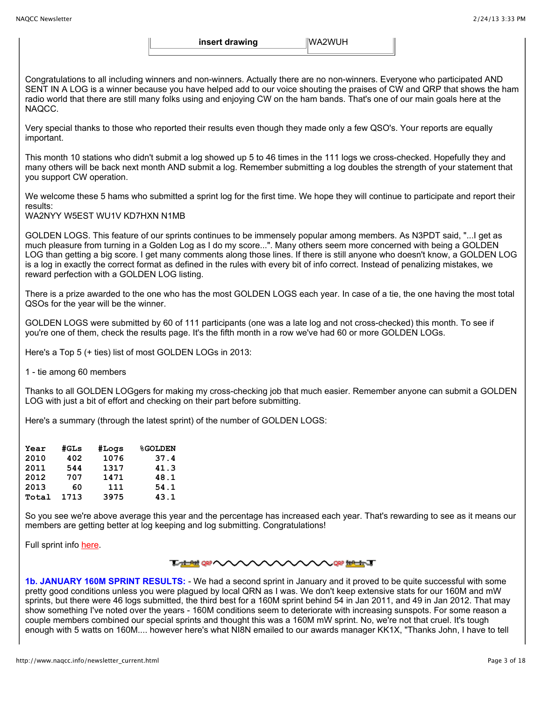**insert drawing WA2WUH** 

Congratulations to all including winners and non-winners. Actually there are no non-winners. Everyone who participated AND SENT IN A LOG is a winner because you have helped add to our voice shouting the praises of CW and QRP that shows the ham radio world that there are still many folks using and enjoying CW on the ham bands. That's one of our main goals here at the NAQCC.

Very special thanks to those who reported their results even though they made only a few QSO's. Your reports are equally important.

This month 10 stations who didn't submit a log showed up 5 to 46 times in the 111 logs we cross-checked. Hopefully they and many others will be back next month AND submit a log. Remember submitting a log doubles the strength of your statement that you support CW operation.

We welcome these 5 hams who submitted a sprint log for the first time. We hope they will continue to participate and report their results:

WA2NYY W5EST WU1V KD7HXN N1MB

GOLDEN LOGS. This feature of our sprints continues to be immensely popular among members. As N3PDT said, "...I get as much pleasure from turning in a Golden Log as I do my score...". Many others seem more concerned with being a GOLDEN LOG than getting a big score. I get many comments along those lines. If there is still anyone who doesn't know, a GOLDEN LOG is a log in exactly the correct format as defined in the rules with every bit of info correct. Instead of penalizing mistakes, we reward perfection with a GOLDEN LOG listing.

There is a prize awarded to the one who has the most GOLDEN LOGS each year. In case of a tie, the one having the most total QSOs for the year will be the winner.

GOLDEN LOGS were submitted by 60 of 111 participants (one was a late log and not cross-checked) this month. To see if you're one of them, check the results page. It's the fifth month in a row we've had 60 or more GOLDEN LOGs.

Here's a Top 5 (+ ties) list of most GOLDEN LOGs in 2013:

1 - tie among 60 members

Thanks to all GOLDEN LOGgers for making my cross-checking job that much easier. Remember anyone can submit a GOLDEN LOG with just a bit of effort and checking on their part before submitting.

Here's a summary (through the latest sprint) of the number of GOLDEN LOGS:

| Year  | #GLs | #Logs | <b>%GOLDEN</b> |
|-------|------|-------|----------------|
| 2010  | 402  | 1076  | 37.4           |
| 2011  | 544  | 1317  | 41.3           |
| 2012  | 707  | 1471  | 48.1           |
| 2013  | 60   | 111   | 54.1           |
| Total | 1713 | 3975  | 43.1           |

So you see we're above average this year and the percentage has increased each year. That's rewarding to see as it means our members are getting better at log keeping and log submitting. Congratulations!

Full sprint info [here.](http://www.naqcc.info/contests.html)

#### **℡<del>℡</del>⅏へへへへへへ**へ **AAAA** QRP ##E#ET

**1b. JANUARY 160M SPRINT RESULTS:** - We had a second sprint in January and it proved to be quite successful with some pretty good conditions unless you were plagued by local QRN as I was. We don't keep extensive stats for our 160M and mW sprints, but there were 46 logs submitted, the third best for a 160M sprint behind 54 in Jan 2011, and 49 in Jan 2012. That may show something I've noted over the years - 160M conditions seem to deteriorate with increasing sunspots. For some reason a couple members combined our special sprints and thought this was a 160M mW sprint. No, we're not that cruel. It's tough enough with 5 watts on 160M.... however here's what NI8N emailed to our awards manager KK1X, "Thanks John, I have to tell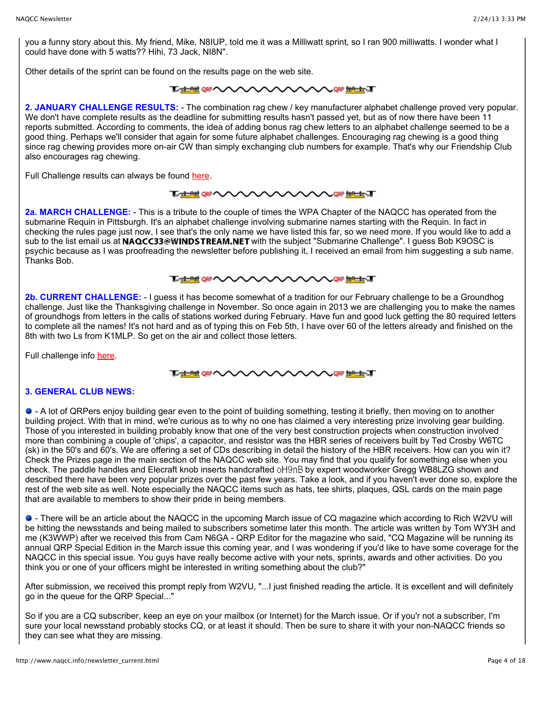you a funny story about this. My friend, Mike, N8IUP, told me it was a Milliwatt sprint, so I ran 900 milliwatts. I wonder what I could have done with 5 watts?? Hihi, 73 Jack, NI8N".

Other details of the sprint can be found on the results page on the web site.

#### **Tatted OR ANAVA THAN UP ANY**

**2. JANUARY CHALLENGE RESULTS:** - The combination rag chew / key manufacturer alphabet challenge proved very popular. We don't have complete results as the deadline for submitting results hasn't passed yet, but as of now there have been 11 reports submitted. According to comments, the idea of adding bonus rag chew letters to an alphabet challenge seemed to be a good thing. Perhaps we'll consider that again for some future alphabet challenges. Encouraging rag chewing is a good thing since rag chewing provides more on-air CW than simply exchanging club numbers for example. That's why our Friendship Club also encourages rag chewing.

Full Challenge results can always be found [here.](http://www.naqcc.info/challenges.html)



**2a. MARCH CHALLENGE:** - This is a tribute to the couple of times the WPA Chapter of the NAQCC has operated from the submarine Requin in Pittsburgh. It's an alphabet challenge involving submarine names starting with the Requin. In fact in checking the rules page just now, I see that's the only name we have listed this far, so we need more. If you would like to add a sub to the list email us at NAQCC33@WINDSTREAM.NET with the subject "Submarine Challenge". I guess Bob K9OSC is psychic because as I was proofreading the newsletter before publishing it, I received an email from him suggesting a sub name. Thanks Bob.

#### **THE OF A WARRANT**

**2b. CURRENT CHALLENGE:** - I guess it has become somewhat of a tradition for our February challenge to be a Groundhog challenge. Just like the Thanksgiving challenge in November. So once again in 2013 we are challenging you to make the names of groundhogs from letters in the calls of stations worked during February. Have fun and good luck getting the 80 required letters to complete all the names! It's not hard and as of typing this on Feb 5th, I have over 60 of the letters already and finished on the 8th with two Ls from K1MLP. So get on the air and collect those letters.

Full challenge info [here.](http://www.naqcc.info/challenges.html)

**THE ORP NONONCON Label 100 AV** 

#### **3. GENERAL CLUB NEWS:**

 - A lot of QRPers enjoy building gear even to the point of building something, testing it briefly, then moving on to another building project. With that in mind, we're curious as to why no one has claimed a very interesting prize involving gear building. Those of you interested in building probably know that one of the very best construction projects when construction involved more than combining a couple of 'chips', a capacitor, and resistor was the HBR series of receivers built by Ted Crosby W6TC (sk) in the 50's and 60's. We are offering a set of CDs describing in detail the history of the HBR receivers. How can you win it? Check the Prizes page in the main section of the NAQCC web site. You may find that you qualify for something else when you check. The paddle handles and Elecraft knob inserts handcrafted oH9nB by expert woodworker Gregg WB8LZG shown and described there have been very popular prizes over the past few years. Take a look, and if you haven't ever done so, explore the rest of the web site as well. Note especially the NAQCC items such as hats, tee shirts, plaques, QSL cards on the main page that are available to members to show their pride in being members.

 - There will be an article about the NAQCC in the upcoming March issue of CQ magazine which according to Rich W2VU will be hitting the newsstands and being mailed to subscribers sometime later this month. The article was written by Tom WY3H and me (K3WWP) after we received this from Cam N6GA - QRP Editor for the magazine who said, "CQ Magazine will be running its annual QRP Special Edition in the March issue this coming year, and I was wondering if you'd like to have some coverage for the NAQCC in this special issue. You guys have really become active with your nets, sprints, awards and other activities. Do you think you or one of your officers might be interested in writing something about the club?"

After submission, we received this prompt reply from W2VU, "...I just finished reading the article. It is excellent and will definitely go in the queue for the QRP Special..."

So if you are a CQ subscriber, keep an eye on your mailbox (or Internet) for the March issue. Or if you'r not a subscriber, I'm sure your local newsstand probably stocks CQ, or at least it should. Then be sure to share it with your non-NAQCC friends so they can see what they are missing.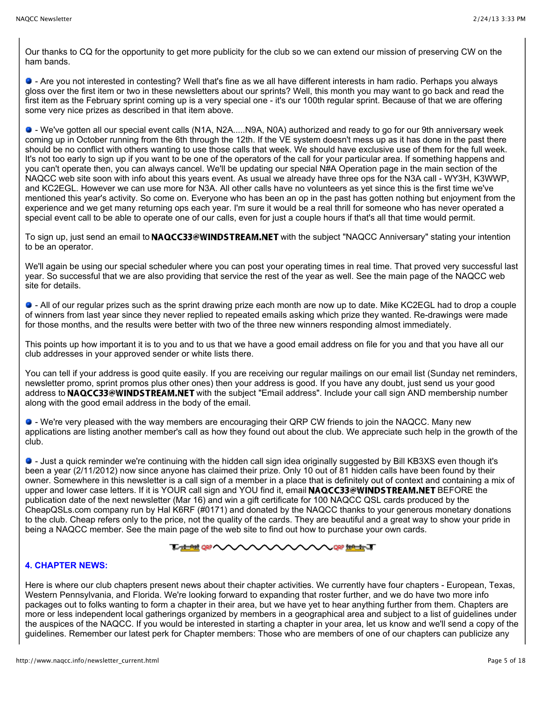Our thanks to CQ for the opportunity to get more publicity for the club so we can extend our mission of preserving CW on the ham bands.

 - Are you not interested in contesting? Well that's fine as we all have different interests in ham radio. Perhaps you always gloss over the first item or two in these newsletters about our sprints? Well, this month you may want to go back and read the first item as the February sprint coming up is a very special one - it's our 100th regular sprint. Because of that we are offering some very nice prizes as described in that item above.

 - We've gotten all our special event calls (N1A, N2A.....N9A, N0A) authorized and ready to go for our 9th anniversary week coming up in October running from the 6th through the 12th. If the VE system doesn't mess up as it has done in the past there should be no conflict with others wanting to use those calls that week. We should have exclusive use of them for the full week. It's not too early to sign up if you want to be one of the operators of the call for your particular area. If something happens and you can't operate then, you can always cancel. We'll be updating our special N#A Operation page in the main section of the NAQCC web site soon with info about this years event. As usual we already have three ops for the N3A call - WY3H, K3WWP, and KC2EGL. However we can use more for N3A. All other calls have no volunteers as yet since this is the first time we've mentioned this year's activity. So come on. Everyone who has been an op in the past has gotten nothing but enjoyment from the experience and we get many returning ops each year. I'm sure it would be a real thrill for someone who has never operated a special event call to be able to operate one of our calls, even for just a couple hours if that's all that time would permit.

To sign up, just send an email to **NAQCC33@WINDSTREAM.NET** with the subject "NAQCC Anniversary" stating your intention to be an operator.

We'll again be using our special scheduler where you can post your operating times in real time. That proved very successful last year. So successful that we are also providing that service the rest of the year as well. See the main page of the NAQCC web site for details.

 - All of our regular prizes such as the sprint drawing prize each month are now up to date. Mike KC2EGL had to drop a couple of winners from last year since they never replied to repeated emails asking which prize they wanted. Re-drawings were made for those months, and the results were better with two of the three new winners responding almost immediately.

This points up how important it is to you and to us that we have a good email address on file for you and that you have all our club addresses in your approved sender or white lists there.

You can tell if your address is good quite easily. If you are receiving our regular mailings on our email list (Sunday net reminders, newsletter promo, sprint promos plus other ones) then your address is good. If you have any doubt, just send us your good address to NAQCC33@WINDSTREAM.NET with the subject "Email address". Include your call sign AND membership number along with the good email address in the body of the email.

 - We're very pleased with the way members are encouraging their QRP CW friends to join the NAQCC. Many new applications are listing another member's call as how they found out about the club. We appreciate such help in the growth of the club.

 - Just a quick reminder we're continuing with the hidden call sign idea originally suggested by Bill KB3XS even though it's been a year (2/11/2012) now since anyone has claimed their prize. Only 10 out of 81 hidden calls have been found by their owner. Somewhere in this newsletter is a call sign of a member in a place that is definitely out of context and containing a mix of upper and lower case letters. If it is YOUR call sign and YOU find it, email NAQCC33@WINDSTREAM.NET BEFORE the publication date of the next newsletter (Mar 16) and win a gift certificate for 100 NAQCC QSL cards produced by the CheapQSLs.com company run by Hal K6RF (#0171) and donated by the NAQCC thanks to your generous monetary donations to the club. Cheap refers only to the price, not the quality of the cards. They are beautiful and a great way to show your pride in being a NAQCC member. See the main page of the web site to find out how to purchase your own cards.

#### <del>ᅚᇸᇸ</del>⅏へへ **WAREAUT**

## **4. CHAPTER NEWS:**

Here is where our club chapters present news about their chapter activities. We currently have four chapters - European, Texas, Western Pennsylvania, and Florida. We're looking forward to expanding that roster further, and we do have two more info packages out to folks wanting to form a chapter in their area, but we have yet to hear anything further from them. Chapters are more or less independent local gatherings organized by members in a geographical area and subject to a list of guidelines under the auspices of the NAQCC. If you would be interested in starting a chapter in your area, let us know and we'll send a copy of the guidelines. Remember our latest perk for Chapter members: Those who are members of one of our chapters can publicize any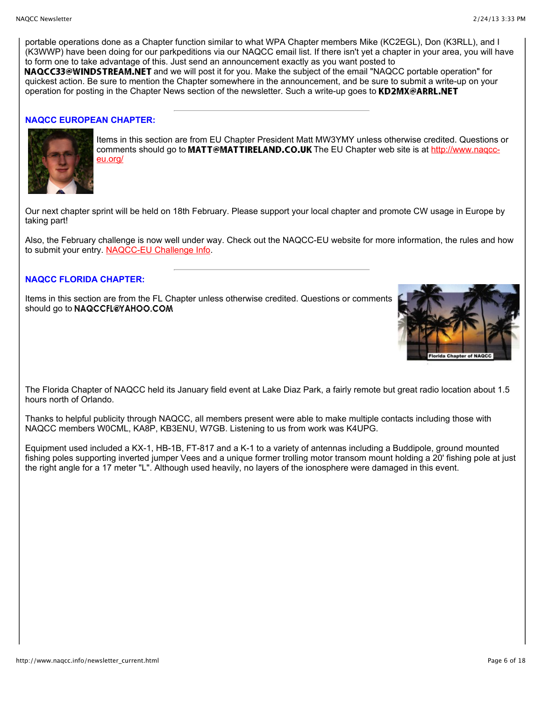portable operations done as a Chapter function similar to what WPA Chapter members Mike (KC2EGL), Don (K3RLL), and I (K3WWP) have been doing for our parkpeditions via our NAQCC email list. If there isn't yet a chapter in your area, you will have to form one to take advantage of this. Just send an announcement exactly as you want posted to NAQCC33@WINDSTREAM.NET and we will post it for you. Make the subject of the email "NAQCC portable operation" for

quickest action. Be sure to mention the Chapter somewhere in the announcement, and be sure to submit a write-up on your operation for posting in the Chapter News section of the newsletter. Such a write-up goes to **KD2MX@ARRL.NET** 

#### **NAQCC EUROPEAN CHAPTER:**



Items in this section are from EU Chapter President Matt MW3YMY unless otherwise credited. Questions or comments should go to MATT@MATTIRELAND.CO.UK The EU Chapter web site is at http://www.nagcceu.org/

Our next chapter sprint will be held on 18th February. Please support your local chapter and promote CW usage in Europe by taking part!

Also, the February challenge is now well under way. Check out the NAQCC-EU website for more information, the rules and how to submit your entry. [NAQCC-EU Challenge Info.](http://www.naqcc-eu.org/eu-challenge)

## **NAQCC FLORIDA CHAPTER:**

Items in this section are from the FL Chapter unless otherwise credited. Questions or comments should go to NAQCCFL@YAHOO.COM



The Florida Chapter of NAQCC held its January field event at Lake Diaz Park, a fairly remote but great radio location about 1.5 hours north of Orlando.

Thanks to helpful publicity through NAQCC, all members present were able to make multiple contacts including those with NAQCC members W0CML, KA8P, KB3ENU, W7GB. Listening to us from work was K4UPG.

Equipment used included a KX-1, HB-1B, FT-817 and a K-1 to a variety of antennas including a Buddipole, ground mounted fishing poles supporting inverted jumper Vees and a unique former trolling motor transom mount holding a 20' fishing pole at just the right angle for a 17 meter "L". Although used heavily, no layers of the ionosphere were damaged in this event.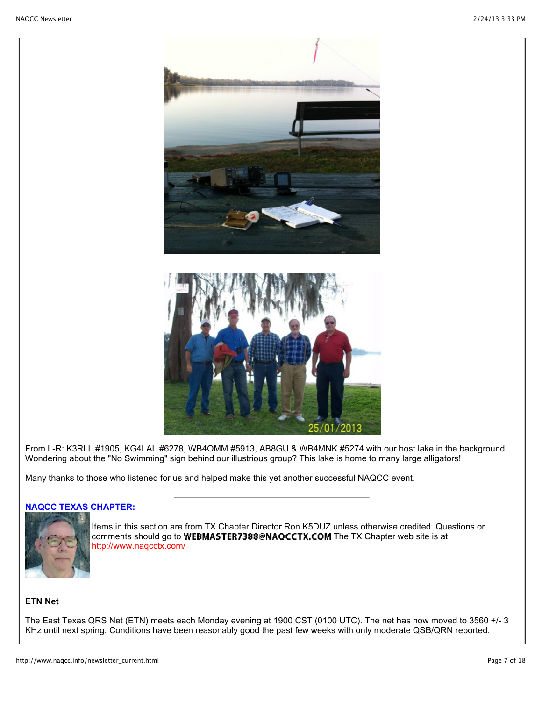

From L-R: K3RLL #1905, KG4LAL #6278, WB4OMM #5913, AB8GU & WB4MNK #5274 with our host lake in the background. Wondering about the "No Swimming" sign behind our illustrious group? This lake is home to many large alligators!

Many thanks to those who listened for us and helped make this yet another successful NAQCC event.

# **NAQCC TEXAS CHAPTER:**



Items in this section are from TX Chapter Director Ron K5DUZ unless otherwise credited. Questions or comments should go to WEBMASTER7388@NAQCCTX.COM The TX Chapter web site is at <http://www.naqcctx.com/>

# **ETN Net**

The East Texas QRS Net (ETN) meets each Monday evening at 1900 CST (0100 UTC). The net has now moved to 3560 +/- 3 KHz until next spring. Conditions have been reasonably good the past few weeks with only moderate QSB/QRN reported.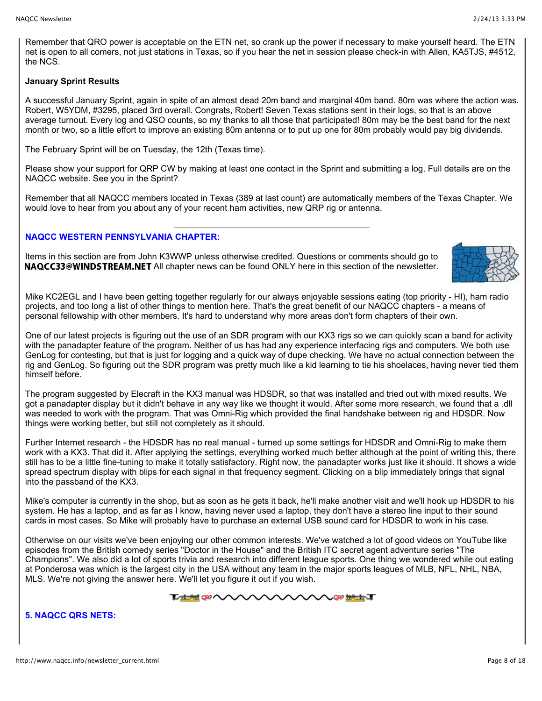Remember that QRO power is acceptable on the ETN net, so crank up the power if necessary to make yourself heard. The ETN net is open to all comers, not just stations in Texas, so if you hear the net in session please check-in with Allen, KA5TJS, #4512, the NCS.

#### **January Sprint Results**

A successful January Sprint, again in spite of an almost dead 20m band and marginal 40m band. 80m was where the action was. Robert, W5YDM, #3295, placed 3rd overall. Congrats, Robert! Seven Texas stations sent in their logs, so that is an above average turnout. Every log and QSO counts, so my thanks to all those that participated! 80m may be the best band for the next month or two, so a little effort to improve an existing 80m antenna or to put up one for 80m probably would pay big dividends.

The February Sprint will be on Tuesday, the 12th (Texas time).

Please show your support for QRP CW by making at least one contact in the Sprint and submitting a log. Full details are on the NAQCC website. See you in the Sprint?

Remember that all NAQCC members located in Texas (389 at last count) are automatically members of the Texas Chapter. We would love to hear from you about any of your recent ham activities, new QRP rig or antenna.

# **NAQCC WESTERN PENNSYLVANIA CHAPTER:**

Items in this section are from John K3WWP unless otherwise credited. Questions or comments should go to **NAQCC33@WINDSTREAM.NET** All chapter news can be found ONLY here in this section of the newsletter.



Mike KC2EGL and I have been getting together regularly for our always enjoyable sessions eating (top priority - HI), ham radio projects, and too long a list of other things to mention here. That's the great benefit of our NAQCC chapters - a means of personal fellowship with other members. It's hard to understand why more areas don't form chapters of their own.

One of our latest projects is figuring out the use of an SDR program with our KX3 rigs so we can quickly scan a band for activity with the panadapter feature of the program. Neither of us has had any experience interfacing rigs and computers. We both use GenLog for contesting, but that is just for logging and a quick way of dupe checking. We have no actual connection between the rig and GenLog. So figuring out the SDR program was pretty much like a kid learning to tie his shoelaces, having never tied them himself before.

The program suggested by Elecraft in the KX3 manual was HDSDR, so that was installed and tried out with mixed results. We got a panadapter display but it didn't behave in any way like we thought it would. After some more research, we found that a .dll was needed to work with the program. That was Omni-Rig which provided the final handshake between rig and HDSDR. Now things were working better, but still not completely as it should.

Further Internet research - the HDSDR has no real manual - turned up some settings for HDSDR and Omni-Rig to make them work with a KX3. That did it. After applying the settings, everything worked much better although at the point of writing this, there still has to be a little fine-tuning to make it totally satisfactory. Right now, the panadapter works just like it should. It shows a wide spread spectrum display with blips for each signal in that frequency segment. Clicking on a blip immediately brings that signal into the passband of the KX3.

Mike's computer is currently in the shop, but as soon as he gets it back, he'll make another visit and we'll hook up HDSDR to his system. He has a laptop, and as far as I know, having never used a laptop, they don't have a stereo line input to their sound cards in most cases. So Mike will probably have to purchase an external USB sound card for HDSDR to work in his case.

Otherwise on our visits we've been enjoying our other common interests. We've watched a lot of good videos on YouTube like episodes from the British comedy series "Doctor in the House" and the British ITC secret agent adventure series "The Champions". We also did a lot of sports trivia and research into different league sports. One thing we wondered while out eating at Ponderosa was which is the largest city in the USA without any team in the major sports leagues of MLB, NFL, NHL, NBA, MLS. We're not giving the answer here. We'll let you figure it out if you wish.

**THE PHIT QRP** ( **ORP HIRTING** 

**5. NAQCC QRS NETS:**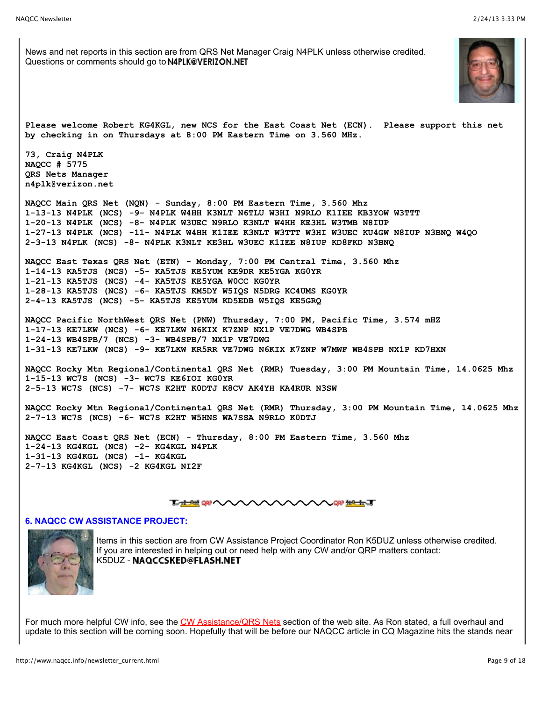News and net reports in this section are from QRS Net Manager Craig N4PLK unless otherwise credited. Questions or comments should go to N4PLK@VERIZON.NET **Please welcome Robert KG4KGL, new NCS for the East Coast Net (ECN). Please support this net by checking in on Thursdays at 8:00 PM Eastern Time on 3.560 MHz. 73, Craig N4PLK NAQCC # 5775 QRS Nets Manager n4plk@verizon.net NAQCC Main QRS Net (NQN) - Sunday, 8:00 PM Eastern Time, 3.560 Mhz 1-13-13 N4PLK (NCS) -9- N4PLK W4HH K3NLT N6TLU W3HI N9RLO K1IEE KB3YOW W3TTT 1-20-13 N4PLK (NCS) -8- N4PLK W3UEC N9RLO K3NLT W4HH KE3HL W3TMB N8IUP 1-27-13 N4PLK (NCS) -11- N4PLK W4HH K1IEE K3NLT W3TTT W3HI W3UEC KU4GW N8IUP N3BNQ W4QO 2-3-13 N4PLK (NCS) -8- N4PLK K3NLT KE3HL W3UEC K1IEE N8IUP KD8FKD N3BNQ NAQCC East Texas QRS Net (ETN) - Monday, 7:00 PM Central Time, 3.560 Mhz 1-14-13 KA5TJS (NCS) -5- KA5TJS KE5YUM KE9DR KE5YGA KG0YR 1-21-13 KA5TJS (NCS) -4- KA5TJS KE5YGA W0CC KG0YR 1-28-13 KA5TJS (NCS) -6- KA5TJS KM5DY W5IQS N5DRG KC4UMS KG0YR 2-4-13 KA5TJS (NCS) -5- KA5TJS KE5YUM KD5EDB W5IQS KE5GRQ NAQCC Pacific NorthWest QRS Net (PNW) Thursday, 7:00 PM, Pacific Time, 3.574 mHZ 1-17-13 KE7LKW (NCS) -6- KE7LKW N6KIX K7ZNP NX1P VE7DWG WB4SPB 1-24-13 WB4SPB/7 (NCS) -3- WB4SPB/7 NX1P VE7DWG 1-31-13 KE7LKW (NCS) -9- KE7LKW KR5RR VE7DWG N6KIX K7ZNP W7MWF WB4SPB NX1P KD7HXN NAQCC Rocky Mtn Regional/Continental QRS Net (RMR) Tuesday, 3:00 PM Mountain Time, 14.0625 Mhz 1-15-13 WC7S (NCS) -3- WC7S KE6IOI KG0YR 2-5-13 WC7S (NCS) -7- WC7S K2HT K0DTJ K8CV AK4YH KA4RUR N3SW NAQCC Rocky Mtn Regional/Continental QRS Net (RMR) Thursday, 3:00 PM Mountain Time, 14.0625 Mhz 2-7-13 WC7S (NCS) -6- WC7S K2HT W5HNS WA7SSA N9RLO K0DTJ NAQCC East Coast QRS Net (ECN) - Thursday, 8:00 PM Eastern Time, 3.560 Mhz 1-24-13 KG4KGL (NCS) -2- KG4KGL N4PLK 1-31-13 KG4KGL (NCS) -1- KG4KGL 2-7-13 KG4KGL (NCS) -2 KG4KGL NI2F TAM OF WWWWWWWWW**T

#### **6. NAQCC CW ASSISTANCE PROJECT:**



Items in this section are from CW Assistance Project Coordinator Ron K5DUZ unless otherwise credited. If you are interested in helping out or need help with any CW and/or QRP matters contact: K5DUZ - NAQCCSKED@FLASH.NET

For much more helpful CW info, see the [CW Assistance/QRS Nets](http://www.naqcc.info/cw.html) section of the web site. As Ron stated, a full overhaul and update to this section will be coming soon. Hopefully that will be before our NAQCC article in CQ Magazine hits the stands near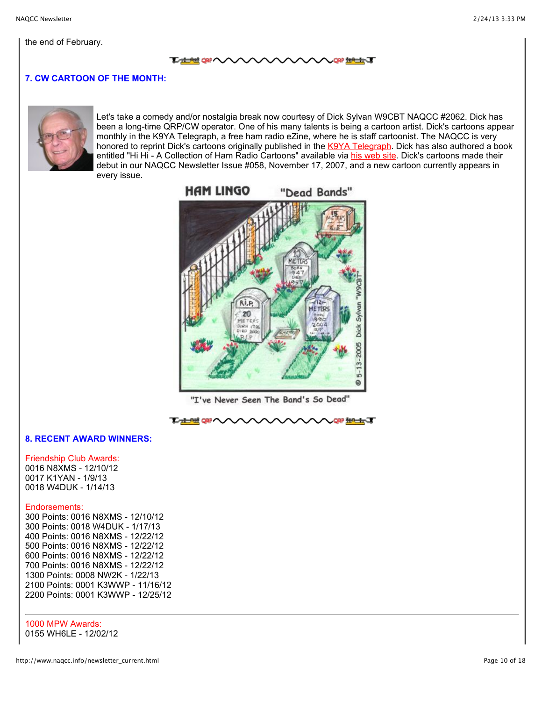#### <del>ᅚᇸᅋ</del>ᇭᄉᄉ **NORP THAT THE CONDENTITY**

# **7. CW CARTOON OF THE MONTH:**



Let's take a comedy and/or nostalgia break now courtesy of Dick Sylvan W9CBT NAQCC #2062. Dick has been a long-time QRP/CW operator. One of his many talents is being a cartoon artist. Dick's cartoons appear monthly in the K9YA Telegraph, a free ham radio eZine, where he is staff cartoonist. The NAQCC is very honored to reprint Dick's cartoons originally published in the [K9YA Telegraph](http://www.k9ya.org/). Dick has also authored a book entitled "Hi Hi - A Collection of Ham Radio Cartoons" available via [his web site.](http://www.k9ya.org/w9cbt/) Dick's cartoons made their debut in our NAQCC Newsletter Issue #058, November 17, 2007, and a new cartoon currently appears in every issue.



"I've Never Seen The Band's So Dead"



## **8. RECENT AWARD WINNERS:**

Friendship Club Awards: 0016 N8XMS - 12/10/12 0017 K1YAN - 1/9/13 0018 W4DUK - 1/14/13

#### Endorsements:

300 Points: 0016 N8XMS - 12/10/12 300 Points: 0018 W4DUK - 1/17/13 400 Points: 0016 N8XMS - 12/22/12 500 Points: 0016 N8XMS - 12/22/12 600 Points: 0016 N8XMS - 12/22/12 700 Points: 0016 N8XMS - 12/22/12 1300 Points: 0008 NW2K - 1/22/13 2100 Points: 0001 K3WWP - 11/16/12 2200 Points: 0001 K3WWP - 12/25/12

1000 MPW Awards: 0155 WH6LE - 12/02/12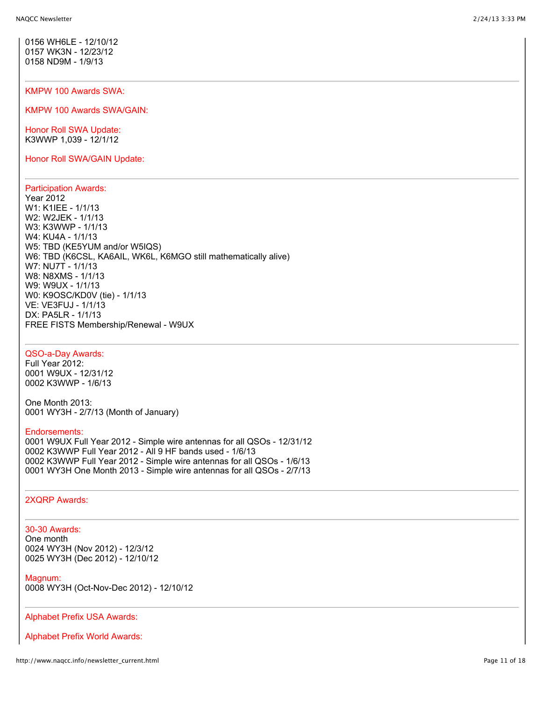0156 WH6LE - 12/10/12 0157 WK3N - 12/23/12 0158 ND9M - 1/9/13

#### KMPW 100 Awards SWA:

KMPW 100 Awards SWA/GAIN:

Honor Roll SWA Update: K3WWP 1,039 - 12/1/12

Honor Roll SWA/GAIN Update:

## Participation Awards:

Year 2012 W1: K1IEE - 1/1/13 W2: W2JEK - 1/1/13 W3: K3WWP - 1/1/13 W4: KU4A - 1/1/13 W5: TBD (KE5YUM and/or W5IQS) W6: TBD (K6CSL, KA6AIL, WK6L, K6MGO still mathematically alive) W7: NU7T - 1/1/13 W8: N8XMS - 1/1/13 W9: W9UX - 1/1/13 W0: K9OSC/KD0V (tie) - 1/1/13 VE: VE3FUJ - 1/1/13 DX: PA5LR - 1/1/13 FREE FISTS Membership/Renewal - W9UX

## QSO-a-Day Awards:

Full Year 2012: 0001 W9UX - 12/31/12 0002 K3WWP - 1/6/13

One Month 2013: 0001 WY3H - 2/7/13 (Month of January)

#### Endorsements:

0001 W9UX Full Year 2012 - Simple wire antennas for all QSOs - 12/31/12 0002 K3WWP Full Year 2012 - All 9 HF bands used - 1/6/13 0002 K3WWP Full Year 2012 - Simple wire antennas for all QSOs - 1/6/13 0001 WY3H One Month 2013 - Simple wire antennas for all QSOs - 2/7/13

#### 2XQRP Awards:

#### 30-30 Awards:

One month 0024 WY3H (Nov 2012) - 12/3/12 0025 WY3H (Dec 2012) - 12/10/12

#### Magnum:

0008 WY3H (Oct-Nov-Dec 2012) - 12/10/12

#### Alphabet Prefix USA Awards:

Alphabet Prefix World Awards: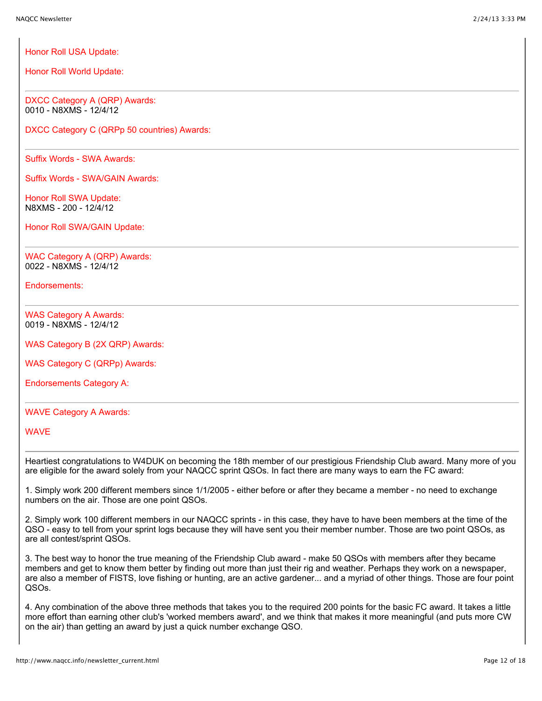Honor Roll USA Update:

Honor Roll World Update:

DXCC Category A (QRP) Awards: 0010 - N8XMS - 12/4/12

DXCC Category C (QRPp 50 countries) Awards:

Suffix Words - SWA Awards:

Suffix Words - SWA/GAIN Awards:

Honor Roll SWA Update: N8XMS - 200 - 12/4/12

Honor Roll SWA/GAIN Update:

WAC Category A (QRP) Awards: 0022 - N8XMS - 12/4/12

Endorsements:

WAS Category A Awards: 0019 - N8XMS - 12/4/12

WAS Category B (2X QRP) Awards:

WAS Category C (QRPp) Awards:

Endorsements Category A:

## WAVE Category A Awards:

WAVE

Heartiest congratulations to W4DUK on becoming the 18th member of our prestigious Friendship Club award. Many more of you are eligible for the award solely from your NAQCC sprint QSOs. In fact there are many ways to earn the FC award:

1. Simply work 200 different members since 1/1/2005 - either before or after they became a member - no need to exchange numbers on the air. Those are one point QSOs.

2. Simply work 100 different members in our NAQCC sprints - in this case, they have to have been members at the time of the QSO - easy to tell from your sprint logs because they will have sent you their member number. Those are two point QSOs, as are all contest/sprint QSOs.

3. The best way to honor the true meaning of the Friendship Club award - make 50 QSOs with members after they became members and get to know them better by finding out more than just their rig and weather. Perhaps they work on a newspaper, are also a member of FISTS, love fishing or hunting, are an active gardener... and a myriad of other things. Those are four point QSOs.

4. Any combination of the above three methods that takes you to the required 200 points for the basic FC award. It takes a little more effort than earning other club's 'worked members award', and we think that makes it more meaningful (and puts more CW on the air) than getting an award by just a quick number exchange QSO.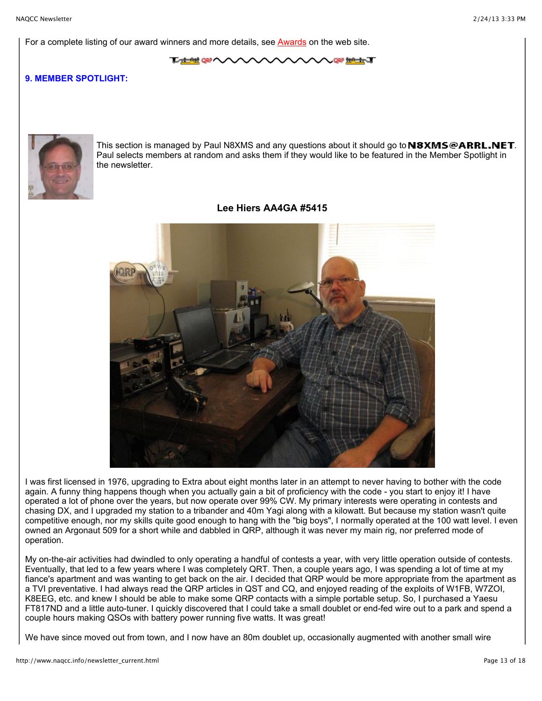For a complete listing of our award winners and more details, see [Awards](http://www.naqcc.info/awards.html) on the web site.

**L<del>ADA</del> QRP (VV AARTHET** 

# **9. MEMBER SPOTLIGHT:**



This section is managed by Paul N8XMS and any questions about it should go to  $N8XMS@ARRL.NET$ . Paul selects members at random and asks them if they would like to be featured in the Member Spotlight in the newsletter.

# **Lee Hiers AA4GA #5415**



I was first licensed in 1976, upgrading to Extra about eight months later in an attempt to never having to bother with the code again. A funny thing happens though when you actually gain a bit of proficiency with the code - you start to enjoy it! I have operated a lot of phone over the years, but now operate over 99% CW. My primary interests were operating in contests and chasing DX, and I upgraded my station to a tribander and 40m Yagi along with a kilowatt. But because my station wasn't quite competitive enough, nor my skills quite good enough to hang with the "big boys", I normally operated at the 100 watt level. I even owned an Argonaut 509 for a short while and dabbled in QRP, although it was never my main rig, nor preferred mode of operation.

My on-the-air activities had dwindled to only operating a handful of contests a year, with very little operation outside of contests. Eventually, that led to a few years where I was completely QRT. Then, a couple years ago, I was spending a lot of time at my fiance's apartment and was wanting to get back on the air. I decided that QRP would be more appropriate from the apartment as a TVI preventative. I had always read the QRP articles in QST and CQ, and enjoyed reading of the exploits of W1FB, W7ZOI, K8EEG, etc. and knew I should be able to make some QRP contacts with a simple portable setup. So, I purchased a Yaesu FT817ND and a little auto-tuner. I quickly discovered that I could take a small doublet or end-fed wire out to a park and spend a couple hours making QSOs with battery power running five watts. It was great!

We have since moved out from town, and I now have an 80m doublet up, occasionally augmented with another small wire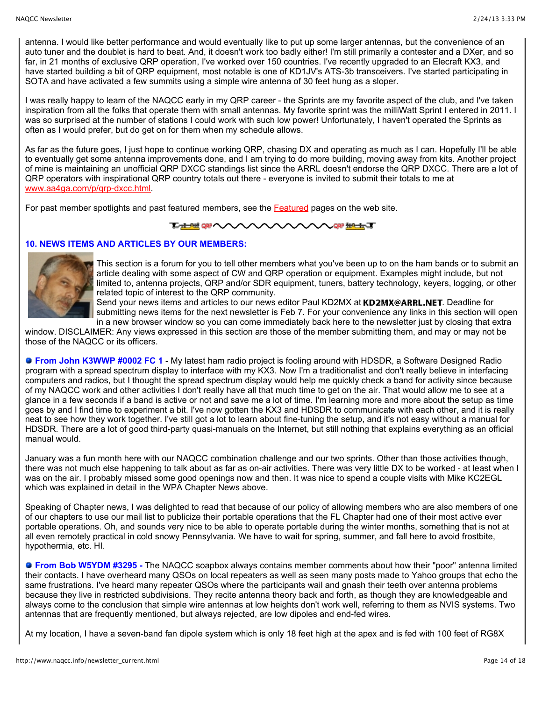antenna. I would like better performance and would eventually like to put up some larger antennas, but the convenience of an auto tuner and the doublet is hard to beat. And, it doesn't work too badly either! I'm still primarily a contester and a DXer, and so far, in 21 months of exclusive QRP operation, I've worked over 150 countries. I've recently upgraded to an Elecraft KX3, and have started building a bit of QRP equipment, most notable is one of KD1JV's ATS-3b transceivers. I've started participating in SOTA and have activated a few summits using a simple wire antenna of 30 feet hung as a sloper.

I was really happy to learn of the NAQCC early in my QRP career - the Sprints are my favorite aspect of the club, and I've taken inspiration from all the folks that operate them with small antennas. My favorite sprint was the milliWatt Sprint I entered in 2011. I was so surprised at the number of stations I could work with such low power! Unfortunately, I haven't operated the Sprints as often as I would prefer, but do get on for them when my schedule allows.

As far as the future goes, I just hope to continue working QRP, chasing DX and operating as much as I can. Hopefully I'll be able to eventually get some antenna improvements done, and I am trying to do more building, moving away from kits. Another project of mine is maintaining an unofficial QRP DXCC standings list since the ARRL doesn't endorse the QRP DXCC. There are a lot of QRP operators with inspirational QRP country totals out there - everyone is invited to submit their totals to me at [www.aa4ga.com/p/qrp-dxcc.html.](http://www.aa4ga.com/p/qrp-dxcc.html)

For past member spotlights and past featured members, see the [Featured](http://www.naqcc.info/pictures_featured.html) pages on the web site.

# **LABRORE**

# **10. NEWS ITEMS AND ARTICLES BY OUR MEMBERS:**



This section is a forum for you to tell other members what you've been up to on the ham bands or to submit an article dealing with some aspect of CW and QRP operation or equipment. Examples might include, but not limited to, antenna projects, QRP and/or SDR equipment, tuners, battery technology, keyers, logging, or other related topic of interest to the QRP community.

Send your news items and articles to our news editor Paul KD2MX at KD2MX@ARRL.NET. Deadline for submitting news items for the next newsletter is Feb 7. For your convenience any links in this section will open in a new browser window so you can come immediately back here to the newsletter just by closing that extra

window. DISCLAIMER: Any views expressed in this section are those of the member submitting them, and may or may not be those of the NAQCC or its officers.

 **From John K3WWP #0002 FC 1** - My latest ham radio project is fooling around with HDSDR, a Software Designed Radio program with a spread spectrum display to interface with my KX3. Now I'm a traditionalist and don't really believe in interfacing computers and radios, but I thought the spread spectrum display would help me quickly check a band for activity since because of my NAQCC work and other activities I don't really have all that much time to get on the air. That would allow me to see at a glance in a few seconds if a band is active or not and save me a lot of time. I'm learning more and more about the setup as time goes by and I find time to experiment a bit. I've now gotten the KX3 and HDSDR to communicate with each other, and it is really neat to see how they work together. I've still got a lot to learn about fine-tuning the setup, and it's not easy without a manual for HDSDR. There are a lot of good third-party quasi-manuals on the Internet, but still nothing that explains everything as an official manual would.

January was a fun month here with our NAQCC combination challenge and our two sprints. Other than those activities though, there was not much else happening to talk about as far as on-air activities. There was very little DX to be worked - at least when I was on the air. I probably missed some good openings now and then. It was nice to spend a couple visits with Mike KC2EGL which was explained in detail in the WPA Chapter News above.

Speaking of Chapter news, I was delighted to read that because of our policy of allowing members who are also members of one of our chapters to use our mail list to publicize their portable operations that the FL Chapter had one of their most active ever portable operations. Oh, and sounds very nice to be able to operate portable during the winter months, something that is not at all even remotely practical in cold snowy Pennsylvania. We have to wait for spring, summer, and fall here to avoid frostbite, hypothermia, etc. HI.

**From Bob W5YDM #3295 -** The NAQCC soapbox always contains member comments about how their "poor" antenna limited their contacts. I have overheard many QSOs on local repeaters as well as seen many posts made to Yahoo groups that echo the same frustrations. I've heard many repeater QSOs where the participants wail and gnash their teeth over antenna problems because they live in restricted subdivisions. They recite antenna theory back and forth, as though they are knowledgeable and always come to the conclusion that simple wire antennas at low heights don't work well, referring to them as NVIS systems. Two antennas that are frequently mentioned, but always rejected, are low dipoles and end-fed wires.

At my location, I have a seven-band fan dipole system which is only 18 feet high at the apex and is fed with 100 feet of RG8X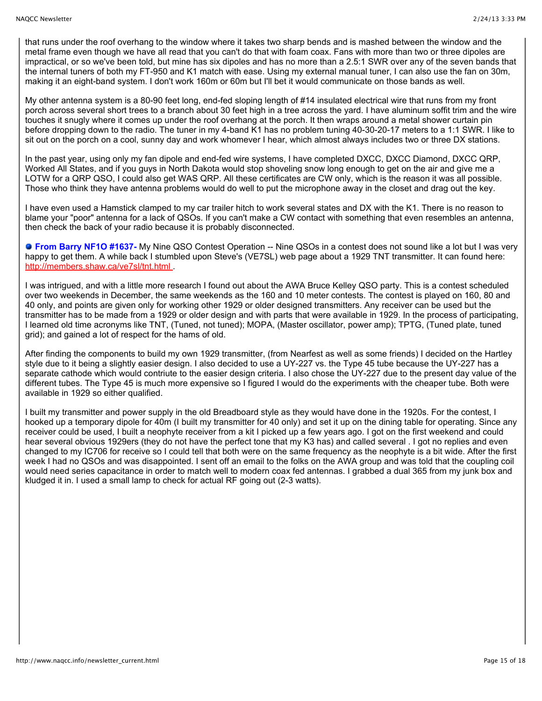that runs under the roof overhang to the window where it takes two sharp bends and is mashed between the window and the metal frame even though we have all read that you can't do that with foam coax. Fans with more than two or three dipoles are impractical, or so we've been told, but mine has six dipoles and has no more than a 2.5:1 SWR over any of the seven bands that the internal tuners of both my FT-950 and K1 match with ease. Using my external manual tuner, I can also use the fan on 30m, making it an eight-band system. I don't work 160m or 60m but I'll bet it would communicate on those bands as well.

My other antenna system is a 80-90 feet long, end-fed sloping length of #14 insulated electrical wire that runs from my front porch across several short trees to a branch about 30 feet high in a tree across the yard. I have aluminum soffit trim and the wire touches it snugly where it comes up under the roof overhang at the porch. It then wraps around a metal shower curtain pin before dropping down to the radio. The tuner in my 4-band K1 has no problem tuning 40-30-20-17 meters to a 1:1 SWR. I like to sit out on the porch on a cool, sunny day and work whomever I hear, which almost always includes two or three DX stations.

In the past year, using only my fan dipole and end-fed wire systems, I have completed DXCC, DXCC Diamond, DXCC QRP, Worked All States, and if you guys in North Dakota would stop shoveling snow long enough to get on the air and give me a LOTW for a QRP QSO, I could also get WAS QRP. All these certificates are CW only, which is the reason it was all possible. Those who think they have antenna problems would do well to put the microphone away in the closet and drag out the key.

I have even used a Hamstick clamped to my car trailer hitch to work several states and DX with the K1. There is no reason to blame your "poor" antenna for a lack of QSOs. If you can't make a CW contact with something that even resembles an antenna, then check the back of your radio because it is probably disconnected.

**From Barry NF1O #1637-** My Nine QSO Contest Operation -- Nine QSOs in a contest does not sound like a lot but I was very happy to get them. A while back I stumbled upon Steve's (VE7SL) web page about a 1929 TNT transmitter. It can found here: <http://members.shaw.ca/ve7sl/tnt.html>.

I was intrigued, and with a little more research I found out about the AWA Bruce Kelley QSO party. This is a contest scheduled over two weekends in December, the same weekends as the 160 and 10 meter contests. The contest is played on 160, 80 and 40 only, and points are given only for working other 1929 or older designed transmitters. Any receiver can be used but the transmitter has to be made from a 1929 or older design and with parts that were available in 1929. In the process of participating, I learned old time acronyms like TNT, (Tuned, not tuned); MOPA, (Master oscillator, power amp); TPTG, (Tuned plate, tuned grid); and gained a lot of respect for the hams of old.

After finding the components to build my own 1929 transmitter, (from Nearfest as well as some friends) I decided on the Hartley style due to it being a slightly easier design. I also decided to use a UY-227 vs. the Type 45 tube because the UY-227 has a separate cathode which would contriute to the easier design criteria. I also chose the UY-227 due to the present day value of the different tubes. The Type 45 is much more expensive so I figured I would do the experiments with the cheaper tube. Both were available in 1929 so either qualified.

I built my transmitter and power supply in the old Breadboard style as they would have done in the 1920s. For the contest, I hooked up a temporary dipole for 40m (I built my transmitter for 40 only) and set it up on the dining table for operating. Since any receiver could be used, I built a neophyte receiver from a kit I picked up a few years ago. I got on the first weekend and could hear several obvious 1929ers (they do not have the perfect tone that my K3 has) and called several . I got no replies and even changed to my IC706 for receive so I could tell that both were on the same frequency as the neophyte is a bit wide. After the first week I had no QSOs and was disappointed. I sent off an email to the folks on the AWA group and was told that the coupling coil would need series capacitance in order to match well to modern coax fed antennas. I grabbed a dual 365 from my junk box and kludged it in. I used a small lamp to check for actual RF going out (2-3 watts).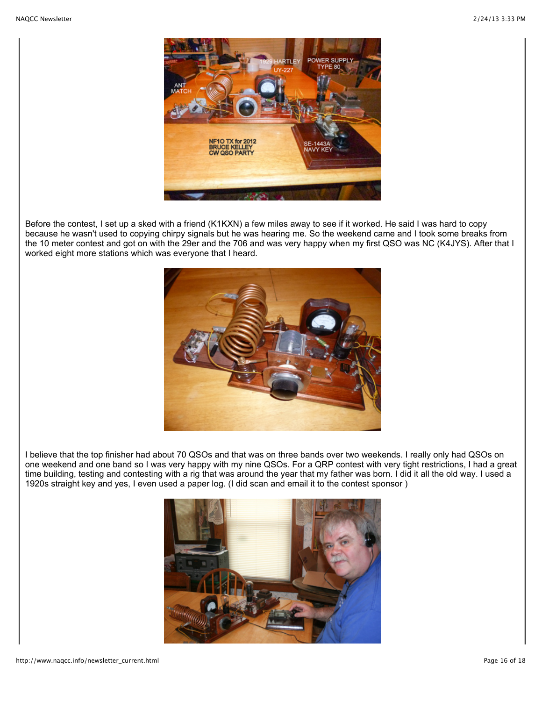

Before the contest, I set up a sked with a friend (K1KXN) a few miles away to see if it worked. He said I was hard to copy because he wasn't used to copying chirpy signals but he was hearing me. So the weekend came and I took some breaks from the 10 meter contest and got on with the 29er and the 706 and was very happy when my first QSO was NC (K4JYS). After that I worked eight more stations which was everyone that I heard.



I believe that the top finisher had about 70 QSOs and that was on three bands over two weekends. I really only had QSOs on one weekend and one band so I was very happy with my nine QSOs. For a QRP contest with very tight restrictions, I had a great time building, testing and contesting with a rig that was around the year that my father was born. I did it all the old way. I used a 1920s straight key and yes, I even used a paper log. (I did scan and email it to the contest sponsor )

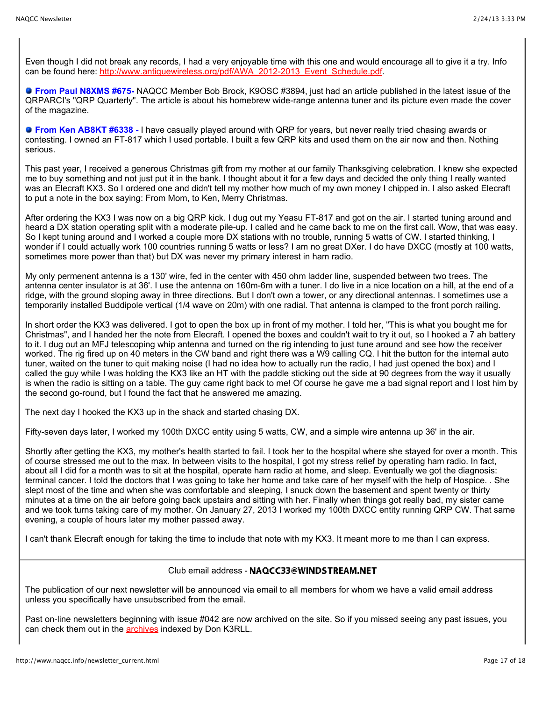Even though I did not break any records, I had a very enjoyable time with this one and would encourage all to give it a try. Info can be found here: [http://www.antiquewireless.org/pdf/AWA\\_2012-2013\\_Event\\_Schedule.pdf.](http://www.antiquewireless.org/pdf/AWA_2012-2013_Event_Schedule.pdf)

**From Paul N8XMS #675-** NAQCC Member Bob Brock, K9OSC #3894, just had an article published in the latest issue of the QRPARCI's "QRP Quarterly". The article is about his homebrew wide-range antenna tuner and its picture even made the cover of the magazine.

**From Ken AB8KT #6338 -** I have casually played around with QRP for years, but never really tried chasing awards or contesting. I owned an FT-817 which I used portable. I built a few QRP kits and used them on the air now and then. Nothing serious.

This past year, I received a generous Christmas gift from my mother at our family Thanksgiving celebration. I knew she expected me to buy something and not just put it in the bank. I thought about it for a few days and decided the only thing I really wanted was an Elecraft KX3. So I ordered one and didn't tell my mother how much of my own money I chipped in. I also asked Elecraft to put a note in the box saying: From Mom, to Ken, Merry Christmas.

After ordering the KX3 I was now on a big QRP kick. I dug out my Yeasu FT-817 and got on the air. I started tuning around and heard a DX station operating split with a moderate pile-up. I called and he came back to me on the first call. Wow, that was easy. So I kept tuning around and I worked a couple more DX stations with no trouble, running 5 watts of CW. I started thinking, I wonder if I could actually work 100 countries running 5 watts or less? I am no great DXer. I do have DXCC (mostly at 100 watts, sometimes more power than that) but DX was never my primary interest in ham radio.

My only permenent antenna is a 130' wire, fed in the center with 450 ohm ladder line, suspended between two trees. The antenna center insulator is at 36'. I use the antenna on 160m-6m with a tuner. I do live in a nice location on a hill, at the end of a ridge, with the ground sloping away in three directions. But I don't own a tower, or any directional antennas. I sometimes use a temporarily installed Buddipole vertical (1/4 wave on 20m) with one radial. That antenna is clamped to the front porch railing.

In short order the KX3 was delivered. I got to open the box up in front of my mother. I told her, "This is what you bought me for Christmas", and I handed her the note from Elecraft. I opened the boxes and couldn't wait to try it out, so I hooked a 7 ah battery to it. I dug out an MFJ telescoping whip antenna and turned on the rig intending to just tune around and see how the receiver worked. The rig fired up on 40 meters in the CW band and right there was a W9 calling CQ. I hit the button for the internal auto tuner, waited on the tuner to quit making noise (I had no idea how to actually run the radio, I had just opened the box) and I called the guy while I was holding the KX3 like an HT with the paddle sticking out the side at 90 degrees from the way it usually is when the radio is sitting on a table. The guy came right back to me! Of course he gave me a bad signal report and I lost him by the second go-round, but I found the fact that he answered me amazing.

The next day I hooked the KX3 up in the shack and started chasing DX.

Fifty-seven days later, I worked my 100th DXCC entity using 5 watts, CW, and a simple wire antenna up 36' in the air.

Shortly after getting the KX3, my mother's health started to fail. I took her to the hospital where she stayed for over a month. This of course stressed me out to the max. In between visits to the hospital, I got my stress relief by operating ham radio. In fact, about all I did for a month was to sit at the hospital, operate ham radio at home, and sleep. Eventually we got the diagnosis: terminal cancer. I told the doctors that I was going to take her home and take care of her myself with the help of Hospice. . She slept most of the time and when she was comfortable and sleeping, I snuck down the basement and spent twenty or thirty minutes at a time on the air before going back upstairs and sitting with her. Finally when things got really bad, my sister came and we took turns taking care of my mother. On January 27, 2013 I worked my 100th DXCC entity running QRP CW. That same evening, a couple of hours later my mother passed away.

I can't thank Elecraft enough for taking the time to include that note with my KX3. It meant more to me than I can express.

# Club email address - NAQCC33@WINDSTREAM.NET

The publication of our next newsletter will be announced via email to all members for whom we have a valid email address unless you specifically have unsubscribed from the email.

Past on-line newsletters beginning with issue #042 are now archived on the site. So if you missed seeing any past issues, you can check them out in the **archives** indexed by Don K3RLL.